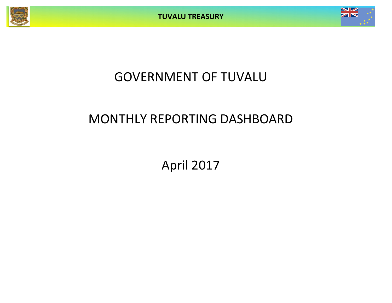

# GOVERNMENT OF TUVALU

## MONTHLY REPORTING DASHBOARD

April 2017

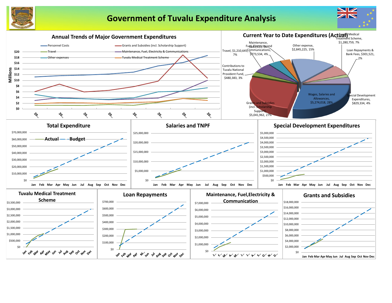

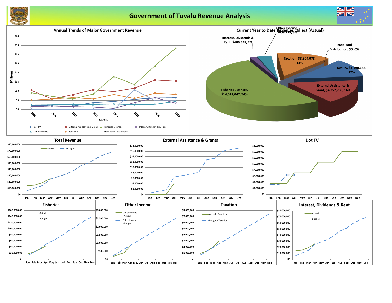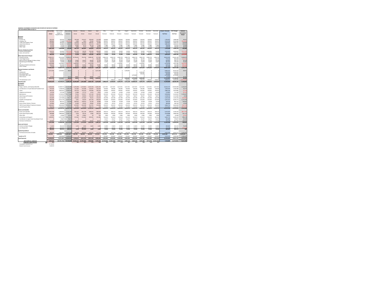**MONTHLY STATEMENT OF RECEIPTS AND PAYENTS BY NATURE OF EXPENSE**

| FOR THE PERIOD ENDED 30-Apr-17                                | <b>Year to Date</b>   | Year to Date          |                        |                                                  | February             | March                 | April              |                                               |                     | July                |                     | September           | October             | November            |                              | <b>Actual + Forecast</b> | 2017 Budget            | Variance               |
|---------------------------------------------------------------|-----------------------|-----------------------|------------------------|--------------------------------------------------|----------------------|-----------------------|--------------------|-----------------------------------------------|---------------------|---------------------|---------------------|---------------------|---------------------|---------------------|------------------------------|--------------------------|------------------------|------------------------|
|                                                               |                       | Budget &              | Year to Date           | January                                          |                      |                       |                    | May                                           | June                |                     | August              |                     |                     |                     | December                     |                          |                        | Forecast &             |
|                                                               | <b>Actual</b>         | Supplementary         | Variance               | Actual                                           | Actual               | Actual                | Actual             | Forecast                                      | Forecast            | Forecast            | Forecast            | Forecast            | Forecast            | Forecast            | Forecast                     | <b>Full Year</b>         | <b>Full Year</b>       | <b>Budget</b>          |
| <b>RECEIPTS</b>                                               |                       |                       |                        |                                                  |                      |                       |                    |                                               |                     |                     |                     |                     |                     |                     |                              |                          |                        |                        |
| <b>Taxation</b>                                               |                       |                       |                        |                                                  |                      |                       |                    |                                               |                     |                     |                     |                     |                     |                     |                              |                          |                        |                        |
| Income Tax                                                    | 656,343               | 563,332               | 93,011                 | 192,269                                          | 156,327              | 185,839               | 121,909            | 140,833                                       | 140,833             | 140,833             | 140,833             | 140,833             | 140,833             | 140,833             | 140,833                      | 1,783,007                | 1,689,996              | 93,011                 |
| Company Tax                                                   | 609,823               | 771,668               | (161, 845)             | 5,583                                            | 1,641                | 75,342                | 527,257            | 192,917                                       | 192,917             | 192,917             | 192,917             | 192,917             | 192,917             | 192,917             | 192,917                      | 2,153,159                | 2,315,004              | (161, 845)<br>159,009  |
| <b>Tuvalu Consumption Taxes</b><br>Import Duty & Excise       | 619,493<br>759,886    | 460,484<br>560,884    | 159,009<br>199,002     | 170,934<br>270,438                               | 161,323<br>135,020   | 189,341<br>223,713    | 97,896<br>130,715  | 115,121<br>140,221                            | 115,121<br>140,221  | 115,121<br>140,221  | 115,121<br>140,221  | 115,121<br>140,221  | 115,121<br>140,221  | 115,121<br>140,221  | 115,121<br>140,221           | 1,540,461<br>1,881,654   | 1,381,452<br>1,682,652 | 199,002                |
| Import Levy                                                   | 63,103                | 47,540                | 15,563                 | 23,005                                           | 8,113                | 20,118                | 11,866             | 11,885                                        | 11,885              | 11,885              | 11,885              | 11,885              | 11,885              | 11,885              | 11,885                       | 158,183                  | 142,620                | 15,563                 |
| <b>Other Taxes</b>                                            | 92,745                | 63,000                | 29,745                 | 4,896                                            | 3,273                | 1,500                 | 83,076             | 15,750                                        | 15,750              | 15,750              | 15,750              | 15,750              | 15,750              | 15,750              | 15,750                       | 218,745                  | 189,000                | 29,745                 |
|                                                               | 2,801,393             | 2,466,908             | 334,485                | 667,125                                          | 465,697              | 695,853               | 972,719            | 616,727                                       | 616,727             | 616,727             | 616,727             | 616,727             | 616,727             | 616,727             | 616,727                      | 7,735,209                | 7,400,724              | 334,485                |
| <b>Interest, Dividends and Rent</b><br>Interest and Dividends | 318,761               | 450,000               | (131, 239)             | (24, 530)                                        | 38,240               | 144,360               | 160,691            | 50,000                                        | 50,000              | 50,000              | 50,000              | 300,000             | 50,000              | 1,433,862           | 50,000                       | 2,352,623                | 2,483,862              | (131, 239)             |
| Lease, rent and hire                                          | 90,834                | 105,440               | (14, 606)              | 40,088                                           | 10,813               | 18,102                | 21,831             | 26,360                                        | 26,360              | 26,360              | 26,360              | 26,360              | 26,360              | 26,360              | 26,360                       | 301,714                  | 316,320                | (14, 606)              |
|                                                               | 409,595               | 555,440               | (145, 845)             | 15,558                                           | 49,053               | 162,462               | 182,522            | 76,360                                        | 76,360              | 76,360              | 76,360              | 326,360             | 76,360              | 1,460,222           | 76,360                       | 2,654,337                | 2,800,182              | (145, 845)             |
| <b>Other Government Charges</b>                               |                       |                       |                        |                                                  |                      |                       |                    |                                               |                     |                     |                     |                     |                     |                     |                              |                          |                        |                        |
| <b>Fisheries Licenses</b><br><b>Vessel Registrations</b>      | 13,963,511<br>245,461 | 8,335,036<br>266,836  | 5,628,475<br>(21, 375) | 10,794,655<br>- 0                                | 702,706<br>$\Omega$  | 1,848,187<br>$\Omega$ | 617,963<br>245,461 | 2,083,759<br>66,709                           | 2,083,759<br>66,709 | 2,083,759<br>66,709 | 2,083,759<br>66,709 | 2,083,759<br>66,709 | 2,083,759<br>66,709 | 2,083,759<br>66,709 | 2,083,759<br>66,709          | 30,633,583<br>779,133    | 25,005,108<br>800,508  | 5,628,475<br>(21, 375) |
| Marine Services (Nivaga II & Manu Folau)                      | 177,313               | 136,584               | 40,729                 | 70,069                                           | 29,422               | 40,630                | 37,192             | 34,146                                        | 34,146              | 34,146              | 34,146              | 34,146              | 34,146              | 34,146              | 34,146                       | 450,481                  | 409,752                | 40,729                 |
| Stevedoring and Wharfage                                      | 154,542               | 63,480                | 91,062                 | 31,296                                           | 37,154               | 37,930                | 48,162             | 15,870                                        | 15,870              | 15,870              | 15,870              | 15,870              | 15,870              | 15,870              | 15,870                       | 281,502                  | 190,440                | 91,062                 |
| .TV                                                           | 3,190,686             | 3,525,642             | (334,956               | 1,639,342                                        |                      | 1,551,344             | -0                 | - 0                                           | 0                   | ,762,821            | - 0                 |                     | 1,762,821           | - 0                 |                              | 6,716,328                | 7,051,284              | (334, 956)             |
| Provision of Goods and Services                               | 146,274               | 241,436               | (95, 162)              | 39,385                                           | 31,191               | 28,633                | 47,065             | 60,359                                        | 60,359              | 60,359              | 60,359              | 60,359              | 60,359              | 60,359              | 60,359                       | 629,146                  | 724,308                | (95, 162)              |
| Other Charges                                                 | 73,766<br>17,951,553  | 128,760<br>12,697,774 | (54, 994)<br>5,253,779 | 24,326<br>12,599,073                             | 26,209<br>826,683    | 13,586<br>3,520,310   | 9,645<br>1,005,487 | 32,190<br>2,293,033                           | 32,190<br>2,293,033 | 32,190<br>4,055,854 | 32,190<br>2,293,033 | 32,190<br>2,293,033 | 32,190<br>4,055,854 | 32,190<br>2,293,033 | 32,190<br>2,293,033          | 331,286<br>39,821,459    | 386,280<br>34,567,680  | (54, 994)<br>5,253,779 |
| <b>External Assistance and Grants</b>                         |                       |                       |                        |                                                  |                      |                       |                    |                                               |                     |                     |                     |                     |                     |                     |                              |                          |                        |                        |
| <b>ROC</b>                                                    | 4,215,580             | 4,166,667             | 48,914                 | $\Omega$                                         | $\Omega$             | $\Omega$              | 4,215,580          | 0                                             |                     |                     | 4,166,667           | - 0                 |                     |                     |                              | 8,382,247                | 8,333,333              | 48,914                 |
| AusAID (CIF)                                                  |                       |                       |                        |                                                  |                      |                       |                    |                                               |                     |                     |                     |                     | 1,500,000           |                     |                              | 1,500,000                | 1,500,000              |                        |
| New Zealand (CIF)                                             |                       |                       |                        |                                                  | $\Omega$<br>$\Omega$ |                       |                    |                                               |                     |                     |                     |                     | 500,000             |                     |                              | 500,000                  | 500,000                | $\mathbf 0$            |
| World Bank, IMF, ADB<br><b>Other Donors</b>                   | 37,153                |                       | 37,153                 | 10,073                                           | 253                  | 24,095                | 2,732              | $\Omega$                                      | $\Omega$            | $\Omega$            |                     | 6,794,868           |                     |                     |                              | 6,794,868<br>37,153      | 6,794,868              | 37,153                 |
|                                                               | 4,252,733             | 4,166,667             | 86,066                 | 10,073                                           | 253                  | 24,095                | 4,218,312          | n                                             | <sup>0</sup>        |                     | 4,166,667           | 6,794,868           | 2,000,000           | $\Omega$            |                              | 17,214,267               | 17,128,201             | 86,066                 |
| TTF Distribution to CIF                                       |                       | 2,233,332             | 2,233,332              | $\Omega$                                         | $\Omega$             |                       | 0                  |                                               | 558,333             | 558,333             | 558,333             | 558,333             | 558,333             | 558,333             | 558,333                      | 3,908,331                | 6,699,996              | (2,791,665)            |
| <b>Total Receipts</b>                                         | 25,415,274            | 22,120,121            | 3,295,154              | 13,291,829                                       | 1,341,686            | 4,402,720             | 6,379,040          | 2,986,120                                     | 3,544,453           | 5,307,274           | 7,711,120           | 10,589,321          | 7,307,274           | 4,928,315           | 3,544,453                    | 71,333,604               | 68,596,783             | 2,736,821              |
| <b>PAYMENTS</b>                                               |                       |                       |                        |                                                  |                      |                       |                    |                                               |                     |                     |                     |                     |                     |                     |                              |                          |                        |                        |
| <b>Operations</b>                                             |                       |                       |                        |                                                  |                      |                       |                    |                                               |                     |                     |                     |                     |                     |                     |                              |                          |                        |                        |
| Wages, Salaries, and Employee Benefits                        | 5,226,332             | 19,389,721            | 14,163,388             | 1,276,784                                        | 1,173,052            | 1,474,734             | 1,301,763          | 1,617,051                                     | 1,617,051           | 1,617,051           | 1,617,051           | 1,617,051           | 1,617,051           | 1,617,051           | 1,617,051                    | 18,162,737               | 19,404,608             | 1,241,871              |
| <b>Contributions to Tuvalu National Provident Fund</b>        | 479,250               | 1,548,546             | 1,069,296              | 112,382                                          | 110,368              | 132,047               | 124,453            | 128,382                                       | 128,382             | 128,382             | 128,382             | 128,382             | 128,382             | 128,382             | 128,382                      | 1,506,303                | 1,540,580              | 34,277                 |
| Travel                                                        | 964,187               | 3,003,437             | 2,039,250              | 233,753                                          | 344,294              | 193,906               | 192,235            | 239,997                                       | 239,997             | 239,997             | 239,997             | 239,997             | 239,997             | 239,997             | 239,997                      | 2,884,164                | 2,879,885              | (4, 279)               |
| Telephone and Internet                                        | 63,194                | 175,199               | 112,005                | 11,086                                           | 37,772               | 6,315                 | 8,021              | 14,599                                        | 14,599              | 14,599              | 14,599              | 14,599              | 14,599              | 14,599              | 14,599                       | 179,987                  | 175,189                | (4, 797)               |
| Maintenance                                                   | 556,963               | 5,734,552             | 5,177,588              | 75,924                                           | 170,977              | 167,120               | 142,943            | 425,250                                       | 425,250             | 425,250             | 425,250             | 425,250             | 425,250             | 425,250             | 425,250                      | 3,958,964                | 5,103,001              | 1,144,037              |
| <b>Advertising and Provisions</b>                             | 379,701               | 1,157,354             | 777,653                | 61,309                                           | 80,004               | 133,192               | 105,195            | 96,057                                        | 96,057              | 96,057              | 96,057              | 96,057              | 96,057              | 96,057              | 96,057                       | 1,148,156                | 1,152,682              | 4,526                  |
| Fuel and Oil                                                  | 503,009               | 1,247,580             | 744,571                | 130,565                                          | 173,387              | 79,531                | 119,525            | 103,780                                       | 103,780             | 103,780             | 103,780             | 103,780             | 103,780             | 103,780             | 103,780                      | 1,333,246                | 1,245,356              | (87, 890)              |
| Supplies and Equipment                                        | 968,668               | 6,531,135             | 5,562,467              | 5,851                                            | 96,629               | 407,746               | 458,442            | 535,843                                       | 535,843             | 535,843             | 535,843             | 535,843             | 535,843             | 535,843             | 535,843                      | 5,255,412                | 6,430,115              | 1,174,704              |
| Electricity                                                   | 151,107               | 893,147               | 742,040                | (90, 967)                                        | 138,452              | 53,740                | 49,882             | 74,428                                        | 74,428              | 74,428              | 74,428              | 74,428              | 74,428              | 74,428              | 74,428                       | 746,534                  | 893,142                | 146,607                |
| Senior Citizen Scheme / Pension                               | 120,806               | 398,688               | 277,882                | 31,899                                           | 29,449               | 29,869                | 29,589             | 33,225                                        | 33,225              | 33,225              | 33,225              | 33,225              | 33,225              | 33,225              | 33,225                       | 386,606                  | 398,700                | 12,094                 |
| TMTS (Tuvalu Medical Treatment Scheme)                        | 1,064,047             | 3,004,000             | 1,939,953              | (47,087)                                         | 644,498              | 314,791               | 151,846            | 250,333                                       | 250,333             | 250,333             | 250,333             | 250,333             | 250,333             | 250,333             | 250,333                      | 3,066,714                | 3,004,000              | (62, 714)              |
| Land & Property Rent                                          | 736,756               | 1,166,407             | 429,651                | 11,701                                           | 15,159               | 709,777               | 120                | 97,201                                        | 97,201              | 97,201              | 97,201              | 97,201              | 97,201              | 97,201              | 97,201                       | 1,514,361                | 1,166,407              | (347, 954)             |
|                                                               | 11,214,021            | 44,249,765            | 33,035,744             | 1,813,200                                        | 3,014,040            | 3,702,767             | 2,684,014          | 3,616,145                                     | 3,616,145           | 3,616,145           | 3,616,145           | 3,616,145           | 3,616,145           | 3,616,145           | 3,616,145                    | 40,143,184               | 43,393,665             | 3,250,480              |
| <b>Grants and Subsidies</b>                                   |                       |                       |                        |                                                  |                      |                       |                    |                                               |                     |                     |                     |                     |                     |                     |                              |                          |                        |                        |
| <b>Grants and Subsidies</b>                                   | 2,653,760             | 5,394,953             | 2,741,192              | 822,167                                          | 851,799              | 489,955               | 489,839            | 446,514                                       | 446,514             | 446,514             | 446,514             | 446,514             | 446,514             | 446,514             | 446,514                      | 6,225,870                | 5,358,164              | (867, 705)             |
| Outer Island Projects (SDE)                                   | 698,888               | 2,880,000             | 2,181,112              | 5,870                                            | 38,795               | 6,084                 | 648,139            | 240,000                                       | 240,000             | 240,000             | 240,000             | 240,000             | 240,000             | 240,000             | 240,000                      | 2,618,888                | 2,880,000              | 261,112                |
| Other SDEs                                                    | 11,724                | 25,000                | 13,276                 | 550                                              | 10,862               | 20                    | 292                | 2,083                                         | 2,083               | 2,083               | 2,083               | 2,083               | 2,083               | 2,083               | 2,083                        | 28,391                   | 25,000                 | (3, 391)               |
| <b>Scholarships and Support</b>                               | 1,269,874             | 6,707,706             | 5,437,832              | 417,602                                          | 233,385              | 493,501               | 125,386            | 541,613                                       | 541,613             | 541,613             | 541,613             | 541,613             | 541,613             | 541,613             | 541,613                      | 5,602,774                | 6,499,350              | 896,576                |
| Contribution to Japan Grant Counterpart Fund                  |                       | 70,647                | 70,647                 | 0                                                | $\Omega$             |                       |                    | 23,237                                        | 23,237              | 23,237              | 23,237              | 23,237              | 23,237              | 23,237              | 23,237                       | 185,898                  | 278,847                | 92,949                 |
| <b>Overseas Contributions</b>                                 | 156,850               | 830,292               | 673,442                | 65,745                                           | 39,502               | 33,032                | 18,572             | 71,791                                        | 71,791              | 71,791              | 71,791              | 71,791              | 71,791              | 71,791              | 71,791                       | 731,178                  | 861,492                | 130,314                |
|                                                               | 4,791,096             | 15,908,598            | 11,117,502             | 1,311,934                                        | 1,174,344            | 1,022,591             | 1,282,227          | 1,325,238                                     | 1,325,238           | 1,325,238           | 1,325,238           | 1,325,238           | 1,325,238           | 1,325,238           | 1,325,238                    | 15,392,998               | 15,902,853             | 509,855                |
| Loans and Interest                                            |                       |                       |                        |                                                  |                      |                       |                    |                                               |                     |                     |                     |                     |                     |                     |                              |                          |                        |                        |
| Interest and Bank Charges                                     | 11,010                | 262,232               | 251,222                | 2,734                                            | 2,583                | 3,603                 | 2,090              | 21,853                                        | 21,853              | 21,853              | 21,853              | 21,853              | 21,853              | 21,853              | 21,853                       | 185,832                  | 262,232                | 76,400                 |
| Loan Repayment                                                | 289,342               | 640,281               | 350,939<br>602,161     | 2,734                                            | 289,342<br>291,924   | 0<br>3,603            | 2,090              | 53,357                                        | 53,357<br>75,209    | 53,357<br>75,209    | 53,357<br>75,209    | 53,357<br>75,209    | 53,357<br>75,209    | 53,357<br>75,209    | 53,357<br>75,209             | 716,196                  | 640,281                | (75, 915)<br>486       |
| <b>Capital Expenditures</b>                                   | 300,352               | 902,513               |                        |                                                  |                      |                       |                    | 75,209                                        |                     |                     |                     |                     |                     |                     |                              | 902,027                  | 902,513                |                        |
| Purchase/construction of assets                               | 643,453               | 6,850,981             | 6,207,528              | 102,746                                          | 160,925              | 262,267               | 117,514            | 472,726                                       | 472,726             | 472,726             | 472,726             | 472,726             | 472,726             | 472,726             | 472,726                      | 4,425,260                | 5,672,711              | 1,247,451              |
|                                                               | 643,453               | 6,850,981             | 6,207,528              | 102,746                                          | 160,925              | 262,267               | 117,514            | 472,726                                       | 472,726             | 472,726             | 472,726             | 472,726             | 472,726             | 472,726             | 472,726                      | 4,425,260                | 5,672,711              | 1,247,451              |
| <b>Transfer to TTF</b>                                        |                       | 5,000,000             | 5,000,00               | $\Omega$                                         |                      |                       |                    | 416,667                                       | 416,667             | 416,667             | 416,667             | 416,667             | 416,667             | 416,667             | 416,667                      | 3,333,333                | 5,000,000              | 1,666,667              |
|                                                               |                       |                       |                        |                                                  |                      |                       |                    |                                               |                     |                     |                     |                     |                     |                     |                              |                          |                        |                        |
| <b>Total Payments</b>                                         | 16,948,922            | 72,911,857            | 55,962,93              | 3,230,614                                        | 4,641,234            | 4,991,228             | 4,085,846          | 5,905,985                                     | 5,905,985           | 5,905,985           | 5,905,985           | 5,905,985           | 5,905,985           | 5,905,985           | 5,905,985                    | 64,196,803               | 70,871,742             | 6,674,939              |
| NET SURPLUS / (DEFICIT)                                       | 8,466,352             |                       |                        | $(50,791,736)$ 59,258,089 10,061,215 (3,299,548) |                      |                       |                    | $(588,508)$ 2,293,194 (2,919,865) (2,361,532) |                     | (598,711)           | 1,805,134           | 4,683,336           | 1,401,289           |                     | $(977, 670)$ $(2, 361, 532)$ | 7,136,800                | (2, 274, 959)          | 9,411,760              |
| $SM$<br><b>FORECAST CASH POSITION</b>                         | 33.8                  |                       |                        | 35.4                                             | 32.1                 | 31.5                  | 33.8               | 30.9                                          | 28.5                | 27.9                | 29.7                | 34.4                | 35.8                | 34.8                | 32.5                         |                          |                        |                        |
| Consolidated Investment Fund                                  | 27,740,300            |                       |                        |                                                  |                      |                       |                    |                                               |                     |                     |                     |                     |                     |                     |                              |                          |                        |                        |
| <b>General Current Account</b>                                | 6,048,509             |                       |                        |                                                  |                      |                       |                    |                                               |                     |                     |                     |                     |                     |                     |                              |                          |                        |                        |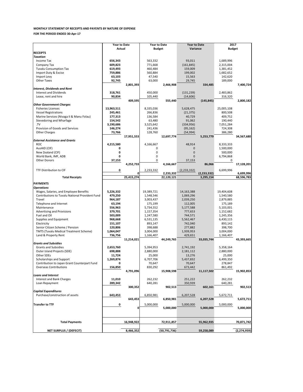|                                                 | <b>Year to Date</b> |            | <b>Year to Date</b> |                | <b>Year to Date</b> |               | 2017                   |               |  |
|-------------------------------------------------|---------------------|------------|---------------------|----------------|---------------------|---------------|------------------------|---------------|--|
|                                                 | Actual              |            | <b>Budget</b>       |                | Variance            |               | <b>Budget</b>          |               |  |
| <b>RECEIPTS</b>                                 |                     |            |                     |                |                     |               |                        |               |  |
| <b>Taxation</b>                                 |                     |            |                     |                |                     |               |                        |               |  |
| Income Tax                                      | 656,343             |            | 563,332             |                | 93,011              |               | 1,689,996              |               |  |
| Company Tax<br><b>Tuvalu Consumption Tax</b>    | 609,823<br>619,493  |            | 771,668<br>460,484  |                | (161, 845)          |               | 2,315,004              |               |  |
| Import Duty & Excise                            | 759,886             |            | 560,884             |                | 159,009<br>199,002  |               | 1,381,452<br>1,682,652 |               |  |
| Import Levy                                     | 63,103              |            | 47,540              |                | 15,563              |               | 142,620                |               |  |
| <b>Other Taxes</b>                              | 92,745              |            | 63,000              |                | 29,745              |               | 189,000                |               |  |
|                                                 |                     | 2,801,393  |                     | 2,466,908      |                     | 334,485       |                        | 7,400,724     |  |
| <b>Interest, Dividends and Rent</b>             |                     |            |                     |                |                     |               |                        |               |  |
| <b>Interest and Dividends</b>                   | 318,761             |            | 450,000             |                | (131, 239)          |               | 2,483,862              |               |  |
| Lease, rent and hire                            | 90,834              |            | 105,440             |                | (14, 606)           |               | 316,320                |               |  |
|                                                 |                     | 409,595    |                     | 555,440        |                     | (145, 845)    |                        | 2,800,182     |  |
| <b>Other Government Charges</b>                 |                     |            |                     |                |                     |               |                        |               |  |
| <b>Fisheries Licenses</b>                       | 13,963,511          |            | 8,335,036           |                | 5,628,475           |               | 25,005,108             |               |  |
| <b>Vessel Registrations</b>                     | 245,461             |            | 266,836             |                | (21, 375)           |               | 800,508                |               |  |
| Marine Services (Nivaga II & Manu Folau)        | 177,313             |            | 136,584             |                | 40,729              |               | 409,752                |               |  |
| Stevedoring and Wharfage                        | 154,542             |            | 63,480              |                | 91,062              |               | 190,440                |               |  |
| .TV                                             | 3,190,686           |            | 3,525,642           |                | (334, 956)          |               | 7,051,284              |               |  |
| Provision of Goods and Services                 | 146,274             |            | 241,436             |                | (95, 162)           |               | 724,308                |               |  |
| <b>Other Charges</b>                            | 73,766              |            | 128,760             |                | (54, 994)           |               | 386,280                |               |  |
|                                                 |                     | 17,951,553 |                     | 12,697,774     |                     | 5,253,779     |                        | 34,567,680    |  |
| <b>External Assistance and Grants</b>           |                     |            |                     |                |                     |               |                        |               |  |
| <b>ROC</b>                                      | 4,215,580           |            | 4,166,667           |                | 48,914              |               | 8,333,333              |               |  |
| AusAID (CIF)                                    | 0                   |            | 0                   |                | 0                   |               | 1,500,000              |               |  |
| New Zealand (CIF)                               | 0                   |            | 0                   |                | 0                   |               | 500,000                |               |  |
| World Bank, IMF, ADB                            | $\mathbf{0}$        |            | 0                   |                | $\Omega$            |               | 6,794,868              |               |  |
| <b>Other Donors</b>                             | 37,153              |            | $\Omega$            |                | 37,153              |               | 0                      |               |  |
|                                                 |                     | 4,252,733  |                     | 4,166,667      |                     | 86,066        |                        | 17,128,201    |  |
| TTF Distribution to CIF                         | 0                   |            | 2,233,332           |                | (2, 233, 332)       |               | 6,699,996              |               |  |
|                                                 |                     | 0          |                     | 2,233,332      |                     | (2, 233, 332) |                        | 6,699,996     |  |
| <b>Total Receipts</b>                           |                     | 25,415,274 |                     | 22,120,121     |                     | 3,295,154     |                        | 68,596,783    |  |
| <b>PAYMENTS</b>                                 |                     |            |                     |                |                     |               |                        |               |  |
| <b>Operations</b>                               |                     |            |                     |                |                     |               |                        |               |  |
| Wages, Salaries, and Employee Benefits          | 5,226,332           |            | 19,389,721          |                | 14, 163, 388        |               | 19,404,608             |               |  |
| Contributions to Tuvalu National Provident Fund | 479,250             |            | 1,548,546           |                | 1,069,296           |               | 1,540,580              |               |  |
| Travel                                          | 964,187             |            | 3,003,437           |                | 2,039,250           |               | 2,879,885              |               |  |
| Telephone and Internet                          | 63,194              |            | 175,199             |                | 112,005             |               | 175,189                |               |  |
| Maintenance                                     | 556,963             |            | 5,734,552           |                | 5,177,588           |               | 5,103,001              |               |  |
| <b>Advertising and Provisions</b>               | 379,701             |            | 1,157,354           |                | 777,653             |               | 1,152,682              |               |  |
| Fuel and Oil                                    | 503,009             |            | 1,247,580           |                | 744,571             |               | 1,245,356              |               |  |
| Supplies and Equipment                          | 968,668             |            | 6,531,135           |                | 5,562,467           |               | 6,430,115              |               |  |
| Electricity                                     | 151,107             |            | 893,147             |                | 742,040             |               | 893,142                |               |  |
| Senior Citizen Scheme / Pension                 | 120,806             |            | 398,688             |                | 277,882             |               | 398,700                |               |  |
| <b>TMTS (Tuvalu Medical Treatment Scheme)</b>   | 1,064,047           |            | 3,004,000           |                | 1,939,953           |               | 3,004,000              |               |  |
| Land & Property Rent                            | 736,756             |            | 1,166,407           |                | 429,651             |               | 1,166,407              |               |  |
|                                                 |                     | 11,214,021 |                     | 44,249,765     |                     | 33,035,744    |                        | 43,393,665    |  |
| <b>Grants and Subsidies</b>                     |                     |            |                     |                |                     |               |                        |               |  |
| <b>Grants and Subsidies</b>                     | 2,653,760           |            | 5,394,953           |                | 2,741,192           |               | 5,358,164              |               |  |
| Outer Island Projects (SDE)                     | 698,888             |            | 2,880,000           |                | 2,181,112           |               | 2,880,000              |               |  |
| Other SDEs<br>Scholarships and Support          | 11,724<br>1,269,874 |            | 25,000<br>6,707,706 |                | 13,276              |               | 25,000<br>6,499,350    |               |  |
| Contribution to Japan Grant Counterpart Fund    | 0                   |            | 70,647              |                | 5,437,832<br>70,647 |               | 278,847                |               |  |
| <b>Overseas Contributions</b>                   | 156,850             |            | 830,292             |                | 673,442             |               | 861,492                |               |  |
|                                                 |                     | 4,791,096  |                     | 15,908,598     |                     | 11,117,502    |                        | 15,902,853    |  |
| <b>Loans and Interest</b>                       |                     |            |                     |                |                     |               |                        |               |  |
| <b>Interest and Bank Charges</b>                | 11,010              |            | 262,232             |                | 251,222             |               | 262,232                |               |  |
| Loan Repayment                                  | 289,342             |            | 640,281             |                | 350,939             |               | 640,281                |               |  |
|                                                 |                     | 300,352    |                     | 902,513        |                     | 602,161       |                        | 902,513       |  |
| <b>Capital Expenditures</b>                     |                     |            |                     |                |                     |               |                        |               |  |
| Purchase/construction of assets                 | 643,453             |            | 6,850,981           |                | 6,207,528           |               | 5,672,711              |               |  |
|                                                 |                     | 643,453    |                     | 6,850,981      |                     | 6,207,528     |                        | 5,672,711     |  |
|                                                 |                     |            |                     |                |                     |               |                        |               |  |
| <b>Transfer to TTF</b>                          | 0                   | 0          | 5,000,000           | 5,000,000      | 5,000,000           | 5,000,000     | 5,000,000              | 5,000,000     |  |
|                                                 |                     |            |                     |                |                     |               |                        |               |  |
|                                                 |                     |            |                     |                |                     |               |                        |               |  |
|                                                 |                     |            |                     |                |                     |               |                        |               |  |
| <b>Total Payments</b>                           |                     | 16,948,922 |                     | 72,911,857     |                     | 55,962,935    |                        | 70,871,742    |  |
| <b>NET SURPLUS / (DEFECIT)</b>                  |                     | 8,466,352  |                     | (50, 791, 736) |                     | 59,258,089    |                        | (2, 274, 959) |  |
|                                                 |                     |            |                     |                |                     |               |                        |               |  |

### **MONTHLY STATEMENT OF RECEIPTS AND PAYENTS BY NATURE OF EXPENSE**

**FOR THE PERIOD ENDED 30-Apr-17**